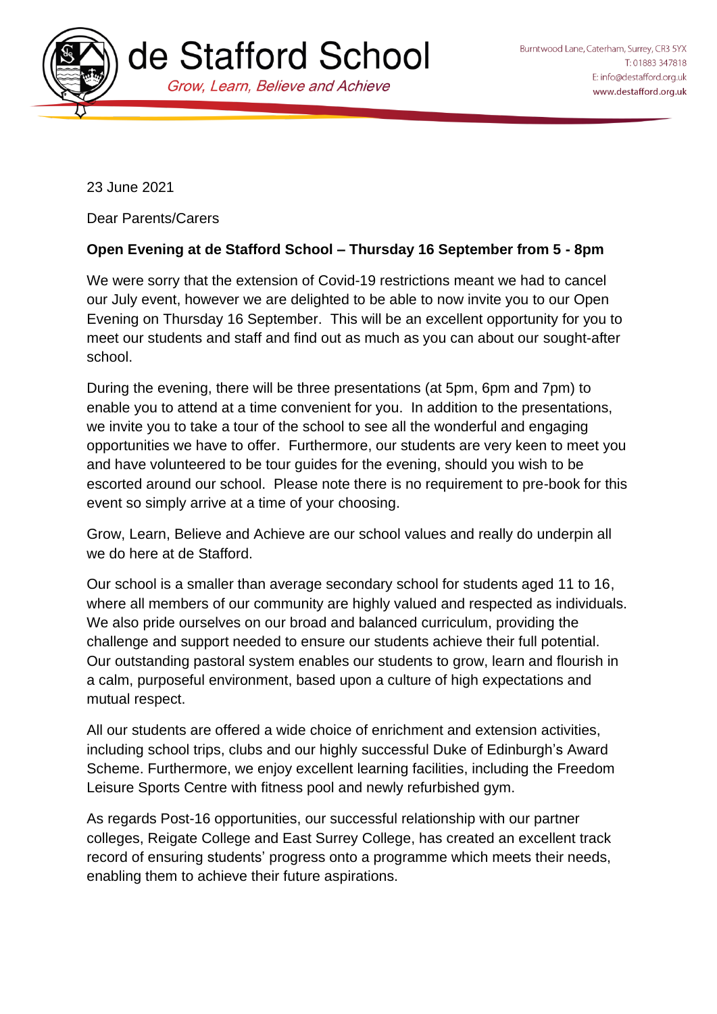

23 June 2021

Dear Parents/Carers

## **Open Evening at de Stafford School – Thursday 16 September from 5 - 8pm**

We were sorry that the extension of Covid-19 restrictions meant we had to cancel our July event, however we are delighted to be able to now invite you to our Open Evening on Thursday 16 September. This will be an excellent opportunity for you to meet our students and staff and find out as much as you can about our sought-after school.

During the evening, there will be three presentations (at 5pm, 6pm and 7pm) to enable you to attend at a time convenient for you. In addition to the presentations, we invite you to take a tour of the school to see all the wonderful and engaging opportunities we have to offer. Furthermore, our students are very keen to meet you and have volunteered to be tour guides for the evening, should you wish to be escorted around our school. Please note there is no requirement to pre-book for this event so simply arrive at a time of your choosing.

Grow, Learn, Believe and Achieve are our school values and really do underpin all we do here at de Stafford.

Our school is a smaller than average secondary school for students aged 11 to 16, where all members of our community are highly valued and respected as individuals. We also pride ourselves on our broad and balanced curriculum, providing the challenge and support needed to ensure our students achieve their full potential. Our outstanding pastoral system enables our students to grow, learn and flourish in a calm, purposeful environment, based upon a culture of high expectations and mutual respect.

All our students are offered a wide choice of enrichment and extension activities, including school trips, clubs and our highly successful Duke of Edinburgh's Award Scheme. Furthermore, we enjoy excellent learning facilities, including the Freedom Leisure Sports Centre with fitness pool and newly refurbished gym.

As regards Post-16 opportunities, our successful relationship with our partner colleges, Reigate College and East Surrey College, has created an excellent track record of ensuring students' progress onto a programme which meets their needs, enabling them to achieve their future aspirations.